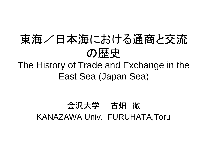### 東海/日本海における通商と交流の歴史

#### The History of Trade and Exchange in the East Sea (Japan Sea)

#### 金沢大学 古畑 徹<br>、、、、、、、、 KANAZAWA Univ. FURUHATA,Toru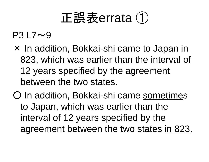# 正誤表errata <sup>①</sup>

#### $P3 L7 \sim 9$

- × In addition, Bokkai-shi came to Japan in<br>823 which was earlier than the interval of 823, which was earlier than the interval of 12 years specified by the agreement between the two states.
- O In addition, Bokkai-shi came sometimes to Japan, which was earlier than the interval of 12 years specified by the agreement between the two states in 823.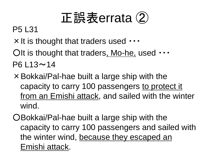# 正誤表errata <sup>②</sup>

#### P5 L31

- <sup>×</sup>It is thought that traders used ・・・
- OIt is thought that traders<u>, Mo-he,</u> used  $\cdots$  $P6 L13 \sim 14$
- <sup>×</sup>Bokkai/Pal-hae built a large ship with the capacity to carry 100 passengers to protect it from an Emishi attack, and sailed with the winter wind.
- ○Bokkai/Pal-hae built a large ship with the capacity to carry 100 passengers and sailed with the winter wind, because they escaped an Emishi attack.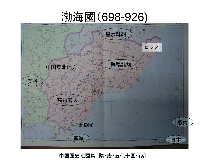#### 渤海國(698-926)



#### 中国歴史地図集 隋・唐・五代十国時期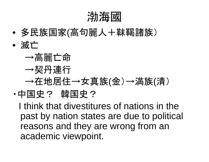渤海國

- 多氏性はる/合行産人~ 多民族国家(高句麗人+靺鞨諸族)
- • 滅亡→高麗亡命→契丹連行→在地居住→女真族(金)→満族(清)・中国史? 韓国史?

I think that divestitures of nations in the past by nation states are due to political reasons and they are wrong from an academic viewpoint.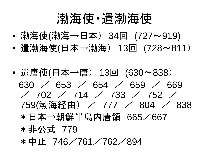# 渤海使・遣渤海使

- '足l'冲1甲l'足l'冲→一 '〈4lロl l, ● 渤海使(渤海→日本) 34回 (727~919)<br>▲ 浩湖流病/ロ★→湖流〉 12回 *(*728~81
- •• 遣渤海使(日本→渤海) 13回(728~811)<br>-
- $\bullet$ ● 遣唐使(日本→唐) 13回(630~838)<br>(30)/(553)/(554)/(550)/(5 630 /330 / 653 / 654 / 659 / 669<br>/ 702 / 714 / 733 / 752 / / 702 / 714 / 733 / 752 /<br>759(渤海経由) / 777 / 804 / 759(渤海経由) / 777 / 804 / 838<br>\*ロ木→胡<sup>年半</sup>県中唐領 665 /667 \* 日本→朝鮮半島内唐領 665/667<br>\* 非ハボ 770 \* 非公式 779<br>\* 中止 746 ⁄ \* 中止 746/761/762/894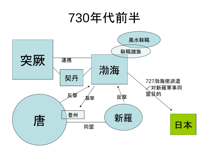### 730年代前半

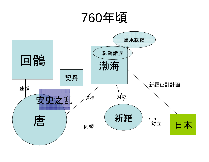# 760年頃

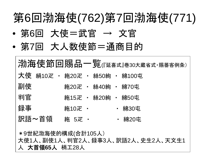# 第6回渤海使(762)第7回渤海使(771)

- •● 第6回 大使=武官 → 文官<br>。竺7回 + ! <del>\*</del>\*生竺 `\*\*日'
- •● 第7回 大人数使節=通商目的

**渤海使節回賜品一覧**(『延喜式』巻30大蔵省式・賜蕃客例条) 大使 絹10疋 ・ 絁20疋 ・ 絲50絇 ・ 綿100屯<br>Fust 副使 <sup>絁</sup>20<sup>疋</sup> ・ <sup>絲</sup>40<sup>絇</sup> ・ <sup>綿</sup>70<sup>屯</sup> 判官 <sup>絁</sup>15<sup>疋</sup> ・ <sup>絲</sup>20<sup>絇</sup> ・ <sup>綿</sup>50<sup>屯</sup> 録事**絁10疋 ・ ・ 綿30屯<br>絁 5疋 ・ ・ 綿20屯** 訳語~首領 絁 5疋 ・ ・ 綿20屯 \*9世紀渤海使的構成(合計105人) 大使1人、副使1人、判官2人、録事3人、訳語2人、史生2人、天文生1<sup>人</sup> 大首領**65**<sup>人</sup> 梢工28<sup>人</sup>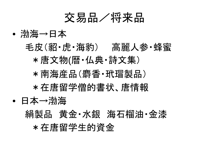

• 渤海→日本毛皮(貂・虎・海豹) 高麗人参・蜂蜜<br>、生きさ物/麻.*ハ*曲・きさ焦ヽ \*唐文物(暦・仏典・詩文集)\* 南海産品(麝香・玳瑁製品) \*在唐留学僧的書状、唐情報• 日本→渤海絹製品 黄金・水銀 海石榴油・金漆<br>、<del>たまの当ともな</del>楽会 \*在唐留学生的資金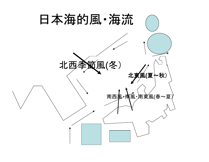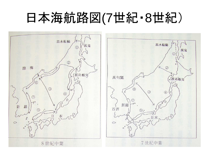#### 日本海航路図(7世紀8世紀)



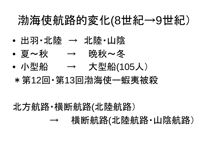#### 渤海使航路的変化(8世紀 $\longrightarrow$ 9世紀)

- •• 出羽・北陸 → 北陸・山陰<br>。百。<del>和</del>
- 夏〜秋 → 晩秋~冬
- $\bullet$ ● 小型船 <sup>→</sup> 大型船(105人)
- \*第12回・第13回渤海使ー蝦夷被殺

北方航路・横断航路(北陸航路)

\_\_\_\_\_\_\_\_\_  $\longrightarrow$ 横断航路 (北陸航路・山陰航路)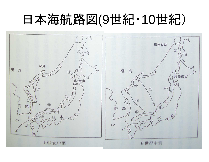# 日本海航路図(9世紀・10世紀)